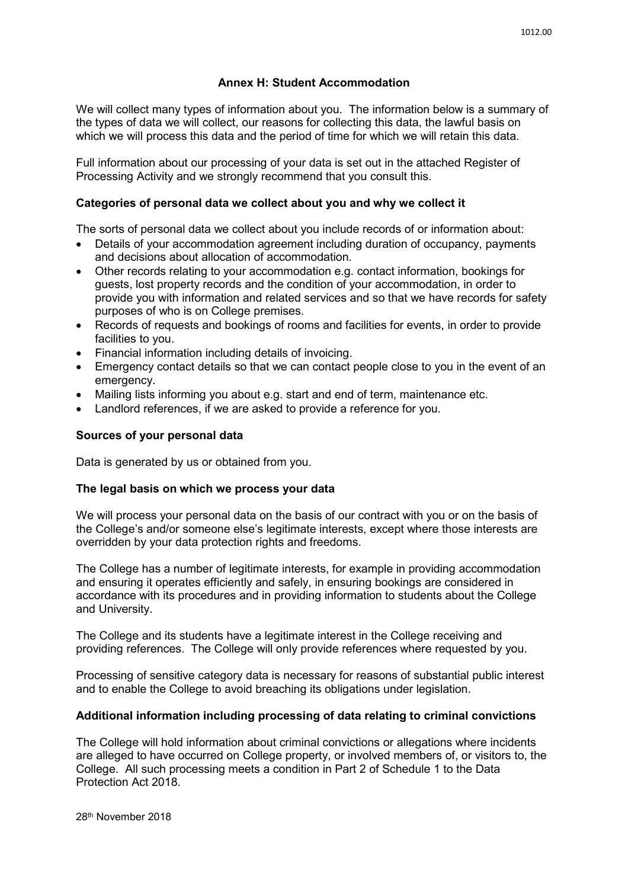# **Annex H: Student Accommodation**

We will collect many types of information about you. The information below is a summary of the types of data we will collect, our reasons for collecting this data, the lawful basis on which we will process this data and the period of time for which we will retain this data.

Full information about our processing of your data is set out in the attached Register of Processing Activity and we strongly recommend that you consult this.

### **Categories of personal data we collect about you and why we collect it**

The sorts of personal data we collect about you include records of or information about:

- Details of your accommodation agreement including duration of occupancy, payments and decisions about allocation of accommodation.
- Other records relating to your accommodation e.g. contact information, bookings for guests, lost property records and the condition of your accommodation, in order to provide you with information and related services and so that we have records for safety purposes of who is on College premises.
- Records of requests and bookings of rooms and facilities for events, in order to provide facilities to you.
- Financial information including details of invoicing.
- Emergency contact details so that we can contact people close to you in the event of an emergency.
- Mailing lists informing you about e.g. start and end of term, maintenance etc.
- Landlord references, if we are asked to provide a reference for you.

### **Sources of your personal data**

Data is generated by us or obtained from you.

#### **The legal basis on which we process your data**

We will process your personal data on the basis of our contract with you or on the basis of the College's and/or someone else's legitimate interests, except where those interests are overridden by your data protection rights and freedoms.

The College has a number of legitimate interests, for example in providing accommodation and ensuring it operates efficiently and safely, in ensuring bookings are considered in accordance with its procedures and in providing information to students about the College and University.

The College and its students have a legitimate interest in the College receiving and providing references. The College will only provide references where requested by you.

Processing of sensitive category data is necessary for reasons of substantial public interest and to enable the College to avoid breaching its obligations under legislation.

## **Additional information including processing of data relating to criminal convictions**

The College will hold information about criminal convictions or allegations where incidents are alleged to have occurred on College property, or involved members of, or visitors to, the College. All such processing meets a condition in Part 2 of Schedule 1 to the Data Protection Act 2018.